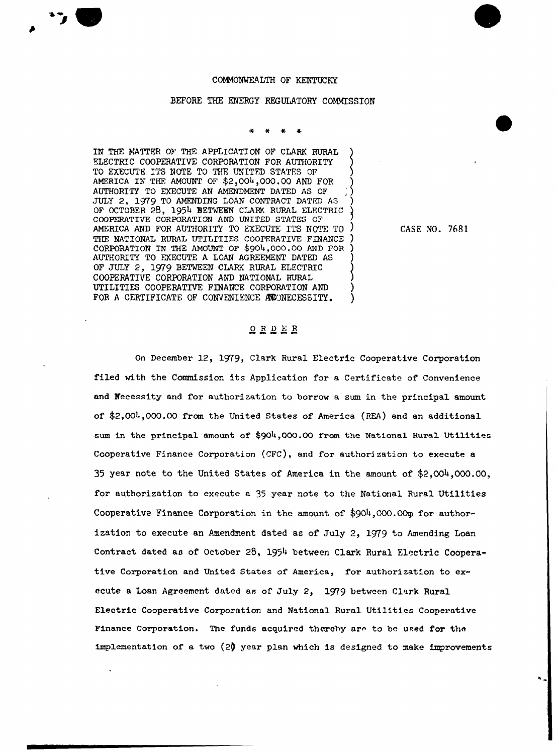## COMMONWEALTH OF KENTUCKY

## BEFORE THE ENERGY REGULATORY COMMISSION

IN THE VATTER OF THF. APPLICATION OF CLARK RURAL ELECTRIC COOPERATIVE CORPORATION FOR AUTHORITY TO EXECUTE ITS NOTE TO THE UNITED STATES OF AMERICA IN THE AMOUNT OF \$2,004,000.00 AND FOR AUTHORITY TO EXECUTE AN AMENDMENT DATED AS OF JULY 2, lg79 TO AMENDING LOAN CONTRACT DATFD AS ) OF OCTOBER 28, 1954 BETAEER CIARK RURAL ELFCTRIC COOPERATIVE CORPORATION AND UNITED STATES OF AMERICA AND FOR AUTHORITY TO EXECUTE ITS NOTE TO THE NATIONAL RURAL UTILITIES COOPERATIVE FINANCE CORPORATION IN THE AMOUNT OF \$904,000.00 AND FOR ) AUTHORITY TO EXECUTE A LOAN AGREEMENT DATED AS ) OF JULY 2, 1979 BETWEEN CLARK RURAL ELECTRIC COOPERATIVE CORPORATION AND NATIONAL RURAL UTILITIES COOPERATIVE FINANCE CORPORATION AND ) FOR A CERTIFICATE OF CONVENIENCE ACUNECESSITY.

CASE NO. 7681

## ORDER

On December 12, 1979, Clark Rural Electric Cooperative Corporation filed with the Commission its Application for a Certificate of Convenience and Necessity and for authorization to borrow a sum in the principal amount of \$2,004,000.00 from the United States of America (REA) snd an additional sum in the principal amount of \$904,000.00 from the National Rural Utilities Cooperative Finance Corporation (CFC), and for authorization to execute a 35 year note to the United States of America in the amount of \$2,004,000.00, for authorization to execute a 35 year note to the National Rural Utilities Cooperative Finance Corporation in the amount of  $$904,000.00$  for authorization to execute an Amendment dated as of July 2, 1979 to Amending Loan Contract dated as of October 26, 1954 between Clark Rural Electric Cooperative Corporation snd United States of America, for authorization to execute a Loan Agreement dated as of July 2, 1979 between Clark Rural Electric Cooperative Corporation and National Rural Utilities Cooperative Finance Corporation. The funds acquired thereby are to be used for the implementation of s two (2) year plan which is designed to make improvements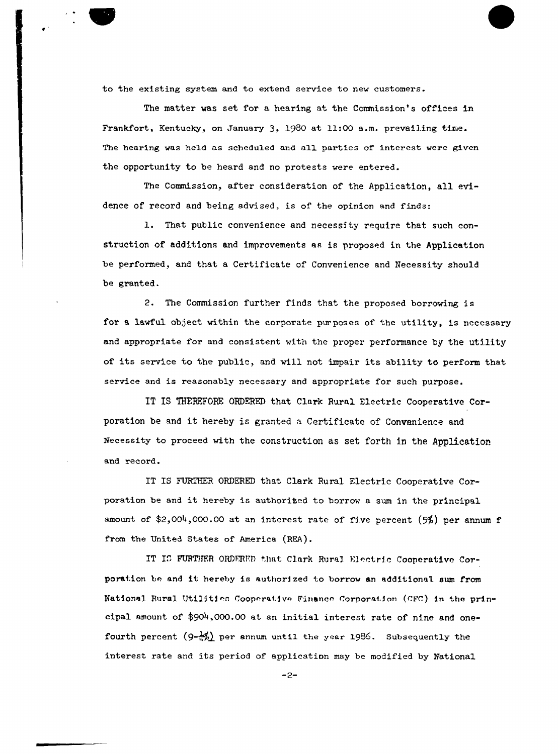to the existing system and to extend service to new customers.

The matter was set for a hearing at the Commission's offices in Frankfort, Kentucky, on January 3, 1980 at 11:00 a.m. prevailing time. The hearing was held as scheduled and all parties of interest were given the opportunity to be heard and no protests were entered.

The Commission, after consideration of the Application, all evidence of record and being advised, is of the opinion and finds:

l. That public convenience and necessity require that such construction of additions and improvements as is proposed in the Application be performed, and that a Certificate of Convenience and Necessity should be granted.

2. The Commission further finds that the proposed borrowing is for a lawful object within the corporate purposes of the utility, is necessary and appropriate for and consistent with the proper performance by the utility of its service to the public, and will not impair its ability to perform that service and is reasonably necessary and appropriate for such purpose.

ET IS THERFFGRE ORDERED that Clark Rural Electric Cooperative Corporation be and it hereby is granted <sup>a</sup> Certificate of Convenience and Necessity to proceed with the construction as set forth in the Appllcatior and record.

IT IS FURTHER ORDERED that Clark Rural Electric Cooperative Corporation be and it hereby is authorited to borrow a sum in the principal amount of  $2,004,000.00$  at an interest rate of five percent (5%) per annum f from the United States of America (REA).

IT IS FURTHER ORDERED that Clark Rural Electric Cooperative Corporation be and it hereby is authorized to borrow an additional sum from National Rural Utilities Cooperative Finance Corporation (CFC) in the principal amount of \$904,000.00 at an initial interest rate of nine and onefourth percent  $(9-\frac{1}{2})$  per annum until the year 1986. Subsequently the interest rate and its period of application may be modified by National

 $-2-$